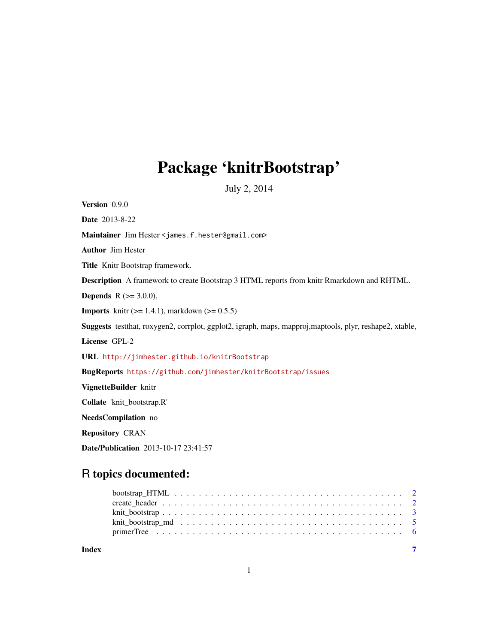## Package 'knitrBootstrap'

July 2, 2014

<span id="page-0-0"></span>Version 0.9.0 Date 2013-8-22 Maintainer Jim Hester <james.f.hester@gmail.com> Author Jim Hester Title Knitr Bootstrap framework. Description A framework to create Bootstrap 3 HTML reports from knitr Rmarkdown and RHTML. **Depends** R  $(>= 3.0.0)$ , **Imports** knitr ( $>= 1.4.1$ ), markdown ( $>= 0.5.5$ ) Suggests testthat, roxygen2, corrplot, ggplot2, igraph, maps, mapproj,maptools, plyr, reshape2, xtable, License GPL-2 URL <http://jimhester.github.io/knitrBootstrap> BugReports <https://github.com/jimhester/knitrBootstrap/issues> VignetteBuilder knitr Collate 'knit\_bootstrap.R' NeedsCompilation no Repository CRAN Date/Publication 2013-10-17 23:41:57

### R topics documented:

| Index |  |
|-------|--|

1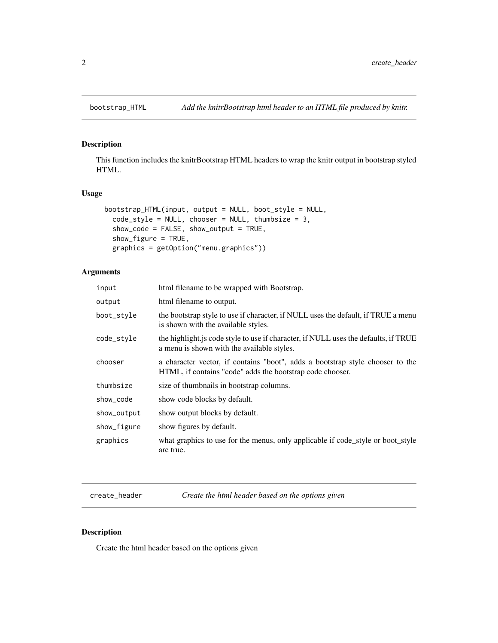<span id="page-1-0"></span>

#### Description

This function includes the knitrBootstrap HTML headers to wrap the knitr output in bootstrap styled HTML.

#### Usage

```
bootstrap_HTML(input, output = NULL, boot_style = NULL,
  code\_style = NULL, chooser = NULL, thumbsize = 3,
  show_code = FALSE, show_output = TRUE,
  show_figure = TRUE,
  graphics = getOption("menu.graphics"))
```
#### Arguments

| input       | html filename to be wrapped with Bootstrap.                                                                                                |
|-------------|--------------------------------------------------------------------------------------------------------------------------------------------|
| output      | html filename to output.                                                                                                                   |
| boot_style  | the bootstrap style to use if character, if NULL uses the default, if TRUE a menu<br>is shown with the available styles.                   |
| code_style  | the highlight is code style to use if character, if NULL uses the defaults, if TRUE<br>a menu is shown with the available styles.          |
| chooser     | a character vector, if contains "boot", adds a bootstrap style chooser to the<br>HTML, if contains "code" adds the bootstrap code chooser. |
| thumbsize   | size of thumbnails in bootstrap columns.                                                                                                   |
| show_code   | show code blocks by default.                                                                                                               |
| show_output | show output blocks by default.                                                                                                             |
| show_figure | show figures by default.                                                                                                                   |
| graphics    | what graphics to use for the menus, only applicable if code_style or boot_style<br>are true.                                               |
|             |                                                                                                                                            |

create\_header *Create the html header based on the options given*

#### Description

Create the html header based on the options given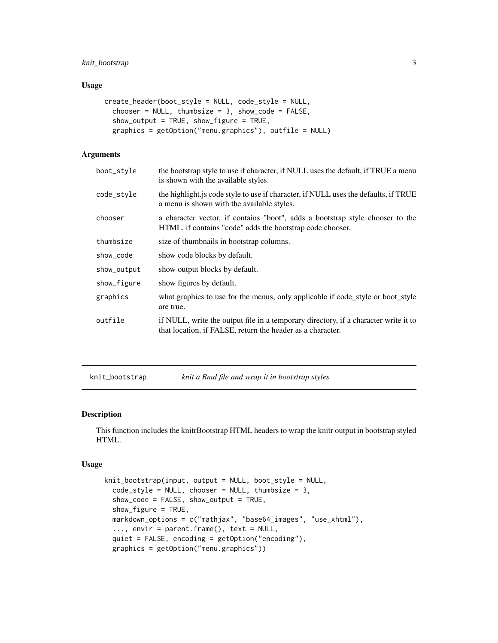#### <span id="page-2-0"></span>knit\_bootstrap 3

#### Usage

```
create_header(boot_style = NULL, code_style = NULL,
  choose = NULL, thumbsize = 3, show_code = FALSE,
  show_output = TRUE, show_figure = TRUE,
  graphics = getOption("menu.graphics"), outfile = NULL)
```
#### Arguments

| boot_style  | the bootstrap style to use if character, if NULL uses the default, if TRUE a menu<br>is shown with the available styles.                          |
|-------------|---------------------------------------------------------------------------------------------------------------------------------------------------|
| code_style  | the highlight is code style to use if character, if NULL uses the defaults, if TRUE<br>a menu is shown with the available styles.                 |
| chooser     | a character vector, if contains "boot", adds a bootstrap style chooser to the<br>HTML, if contains "code" adds the bootstrap code chooser.        |
| thumbsize   | size of thumbnails in bootstrap columns.                                                                                                          |
| show_code   | show code blocks by default.                                                                                                                      |
| show_output | show output blocks by default.                                                                                                                    |
| show_figure | show figures by default.                                                                                                                          |
| graphics    | what graphics to use for the menus, only applicable if code_style or boot_style<br>are true.                                                      |
| outfile     | if NULL, write the output file in a temporary directory, if a character write it to<br>that location, if FALSE, return the header as a character. |
|             |                                                                                                                                                   |

<span id="page-2-1"></span>

knit\_bootstrap *knit a Rmd file and wrap it in bootstrap styles*

#### Description

This function includes the knitrBootstrap HTML headers to wrap the knitr output in bootstrap styled HTML.

#### Usage

```
knit_bootstrap(input, output = NULL, boot_style = NULL,
 code\_style = NULL, chooser = NULL, thumbsize = 3,
  show_code = FALSE, show_output = TRUE,
  show_figure = TRUE,
 markdown_options = c("mathjax", "base64_images", "use_xhtml"),
  \ldots, envir = parent.frame(), text = NULL,
  quiet = FALSE, encoding = getOption("encoding"),
  graphics = getOption("menu.graphics"))
```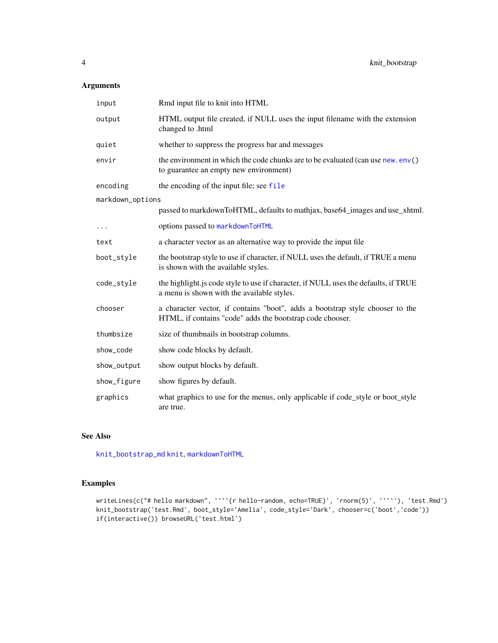#### <span id="page-3-0"></span>Arguments

| input            | Rmd input file to knit into HTML                                                                                                           |  |  |  |  |
|------------------|--------------------------------------------------------------------------------------------------------------------------------------------|--|--|--|--|
| output           | HTML output file created, if NULL uses the input filename with the extension<br>changed to .html                                           |  |  |  |  |
| quiet            | whether to suppress the progress bar and messages                                                                                          |  |  |  |  |
| envir            | the environment in which the code chunks are to be evaluated (can use new. env()<br>to guarantee an empty new environment)                 |  |  |  |  |
| encoding         | the encoding of the input file; see file                                                                                                   |  |  |  |  |
| markdown_options |                                                                                                                                            |  |  |  |  |
|                  | passed to markdownToHTML, defaults to mathjax, base64_images and use_xhtml.                                                                |  |  |  |  |
| .                | options passed to markdownToHTML                                                                                                           |  |  |  |  |
| text             | a character vector as an alternative way to provide the input file                                                                         |  |  |  |  |
| boot_style       | the bootstrap style to use if character, if NULL uses the default, if TRUE a menu<br>is shown with the available styles.                   |  |  |  |  |
| code_style       | the highlight is code style to use if character, if NULL uses the defaults, if TRUE<br>a menu is shown with the available styles.          |  |  |  |  |
| chooser          | a character vector, if contains "boot", adds a bootstrap style chooser to the<br>HTML, if contains "code" adds the bootstrap code chooser. |  |  |  |  |
| thumbsize        | size of thumbnails in bootstrap columns.                                                                                                   |  |  |  |  |
| show_code        | show code blocks by default.                                                                                                               |  |  |  |  |
| show_output      | show output blocks by default.                                                                                                             |  |  |  |  |
| show_figure      | show figures by default.                                                                                                                   |  |  |  |  |
| graphics         | what graphics to use for the menus, only applicable if code_style or boot_style<br>are true.                                               |  |  |  |  |

#### See Also

[knit\\_bootstrap\\_md](#page-4-1) [knit](#page-0-0), [markdownToHTML](#page-0-0)

#### Examples

writeLines(c("# hello markdown", '```{r hello-random, echo=TRUE}', 'rnorm(5)', '```'), 'test.Rmd') knit\_bootstrap('test.Rmd', boot\_style='Amelia', code\_style='Dark', chooser=c('boot','code')) if(interactive()) browseURL('test.html')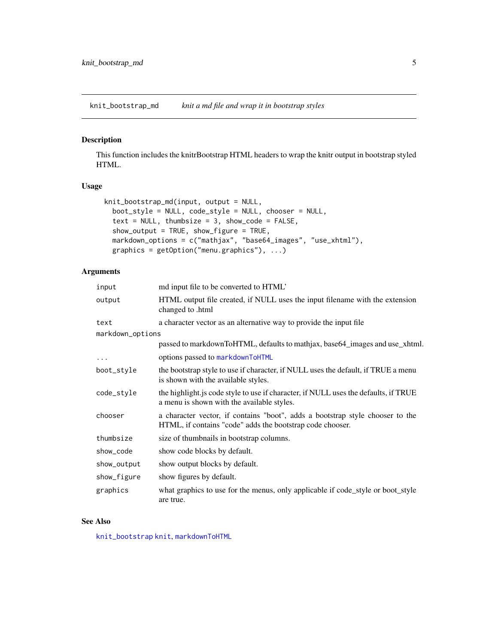<span id="page-4-1"></span><span id="page-4-0"></span>knit\_bootstrap\_md *knit a md file and wrap it in bootstrap styles*

#### Description

This function includes the knitrBootstrap HTML headers to wrap the knitr output in bootstrap styled HTML.

#### Usage

```
knit_bootstrap_md(input, output = NULL,
 boot_style = NULL, code_style = NULL, chooser = NULL,
  text = NULL, thumbsize = 3, show_code = FALSE,
  show_output = TRUE, show_figure = TRUE,
 markdown_options = c("mathjax", "base64_images", "use_xhtml"),
  graphics = getOption("menu.graphics"), ...)
```
#### Arguments

| input            | md input file to be converted to HTML'                                                                                                     |
|------------------|--------------------------------------------------------------------------------------------------------------------------------------------|
| output           | HTML output file created, if NULL uses the input filename with the extension<br>changed to .html                                           |
| text             | a character vector as an alternative way to provide the input file                                                                         |
| markdown_options |                                                                                                                                            |
|                  | passed to markdownToHTML, defaults to mathjax, base 64_images and use_xhtml.                                                               |
| $\ddots$         | options passed to markdownToHTML                                                                                                           |
| boot_style       | the bootstrap style to use if character, if NULL uses the default, if TRUE a menu<br>is shown with the available styles.                   |
| code_style       | the highlight is code style to use if character, if NULL uses the defaults, if TRUE<br>a menu is shown with the available styles.          |
| chooser          | a character vector, if contains "boot", adds a bootstrap style chooser to the<br>HTML, if contains "code" adds the bootstrap code chooser. |
| thumbsize        | size of thumbnails in bootstrap columns.                                                                                                   |
| show_code        | show code blocks by default.                                                                                                               |
| show_output      | show output blocks by default.                                                                                                             |
| show_figure      | show figures by default.                                                                                                                   |
| graphics         | what graphics to use for the menus, only applicable if code_style or boot_style<br>are true.                                               |

#### See Also

[knit\\_bootstrap](#page-2-1) [knit](#page-0-0), [markdownToHTML](#page-0-0)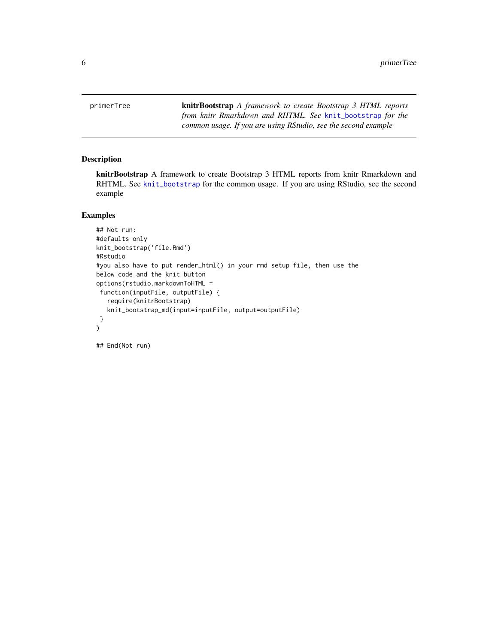<span id="page-5-0"></span>primerTree knitrBootstrap *A framework to create Bootstrap 3 HTML reports from knitr Rmarkdown and RHTML. See* [knit\\_bootstrap](#page-2-1) *for the common usage. If you are using RStudio, see the second example*

#### Description

knitrBootstrap A framework to create Bootstrap 3 HTML reports from knitr Rmarkdown and RHTML. See [knit\\_bootstrap](#page-2-1) for the common usage. If you are using RStudio, see the second example

#### Examples

```
## Not run:
#defaults only
knit_bootstrap('file.Rmd')
#Rstudio
#you also have to put render_html() in your rmd setup file, then use the
below code and the knit button
options(rstudio.markdownToHTML =
function(inputFile, outputFile) {
  require(knitrBootstrap)
  knit_bootstrap_md(input=inputFile, output=outputFile)
}
)
```
## End(Not run)